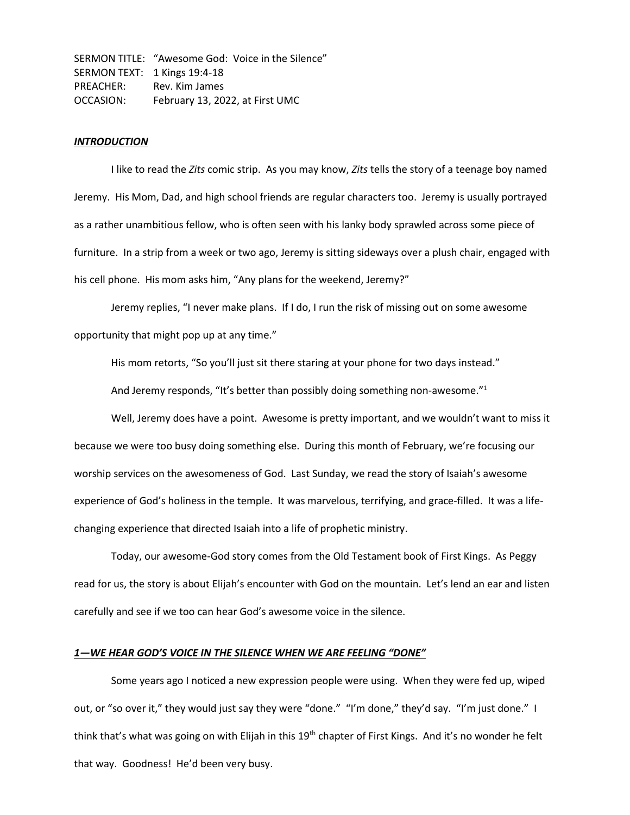SERMON TITLE: "Awesome God: Voice in the Silence" SERMON TEXT: 1 Kings 19:4-18 PREACHER: Rev. Kim James OCCASION: February 13, 2022, at First UMC

### *INTRODUCTION*

I like to read the *Zits* comic strip. As you may know, *Zits* tells the story of a teenage boy named Jeremy. His Mom, Dad, and high school friends are regular characters too. Jeremy is usually portrayed as a rather unambitious fellow, who is often seen with his lanky body sprawled across some piece of furniture. In a strip from a week or two ago, Jeremy is sitting sideways over a plush chair, engaged with his cell phone. His mom asks him, "Any plans for the weekend, Jeremy?"

Jeremy replies, "I never make plans. If I do, I run the risk of missing out on some awesome opportunity that might pop up at any time."

His mom retorts, "So you'll just sit there staring at your phone for two days instead."

And Jeremy responds, "It's better than possibly doing something non-awesome."<sup>1</sup>

Well, Jeremy does have a point. Awesome is pretty important, and we wouldn't want to miss it because we were too busy doing something else. During this month of February, we're focusing our worship services on the awesomeness of God. Last Sunday, we read the story of Isaiah's awesome experience of God's holiness in the temple. It was marvelous, terrifying, and grace-filled. It was a lifechanging experience that directed Isaiah into a life of prophetic ministry.

Today, our awesome-God story comes from the Old Testament book of First Kings. As Peggy read for us, the story is about Elijah's encounter with God on the mountain. Let's lend an ear and listen carefully and see if we too can hear God's awesome voice in the silence.

### *1—WE HEAR GOD'S VOICE IN THE SILENCE WHEN WE ARE FEELING "DONE"*

Some years ago I noticed a new expression people were using. When they were fed up, wiped out, or "so over it," they would just say they were "done." "I'm done," they'd say. "I'm just done." I think that's what was going on with Elijah in this 19<sup>th</sup> chapter of First Kings. And it's no wonder he felt that way. Goodness! He'd been very busy.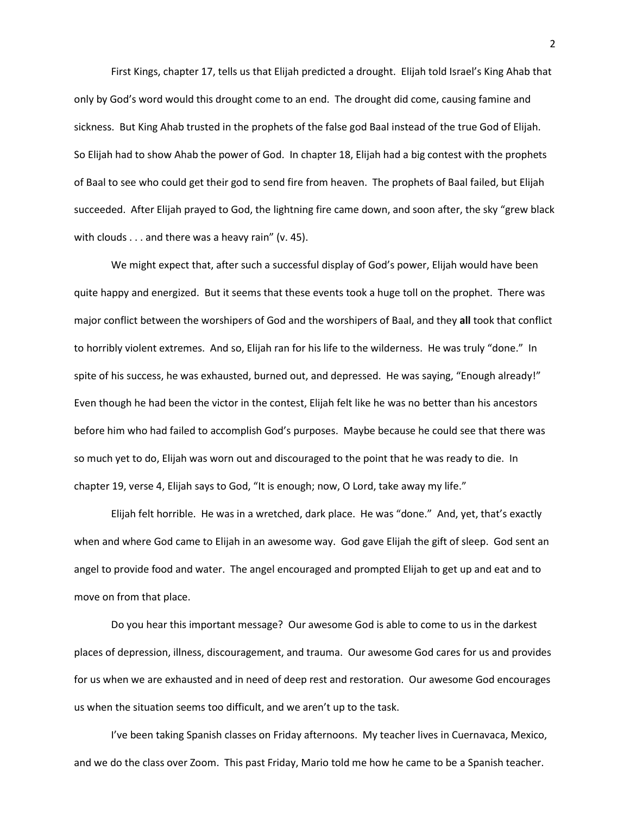First Kings, chapter 17, tells us that Elijah predicted a drought. Elijah told Israel's King Ahab that only by God's word would this drought come to an end. The drought did come, causing famine and sickness. But King Ahab trusted in the prophets of the false god Baal instead of the true God of Elijah. So Elijah had to show Ahab the power of God. In chapter 18, Elijah had a big contest with the prophets of Baal to see who could get their god to send fire from heaven. The prophets of Baal failed, but Elijah succeeded. After Elijah prayed to God, the lightning fire came down, and soon after, the sky "grew black with clouds . . . and there was a heavy rain" (v. 45).

We might expect that, after such a successful display of God's power, Elijah would have been quite happy and energized. But it seems that these events took a huge toll on the prophet. There was major conflict between the worshipers of God and the worshipers of Baal, and they **all** took that conflict to horribly violent extremes. And so, Elijah ran for his life to the wilderness. He was truly "done." In spite of his success, he was exhausted, burned out, and depressed. He was saying, "Enough already!" Even though he had been the victor in the contest, Elijah felt like he was no better than his ancestors before him who had failed to accomplish God's purposes. Maybe because he could see that there was so much yet to do, Elijah was worn out and discouraged to the point that he was ready to die. In chapter 19, verse 4, Elijah says to God, "It is enough; now, O Lord, take away my life."

Elijah felt horrible. He was in a wretched, dark place. He was "done." And, yet, that's exactly when and where God came to Elijah in an awesome way. God gave Elijah the gift of sleep. God sent an angel to provide food and water. The angel encouraged and prompted Elijah to get up and eat and to move on from that place.

Do you hear this important message? Our awesome God is able to come to us in the darkest places of depression, illness, discouragement, and trauma. Our awesome God cares for us and provides for us when we are exhausted and in need of deep rest and restoration. Our awesome God encourages us when the situation seems too difficult, and we aren't up to the task.

I've been taking Spanish classes on Friday afternoons. My teacher lives in Cuernavaca, Mexico, and we do the class over Zoom. This past Friday, Mario told me how he came to be a Spanish teacher.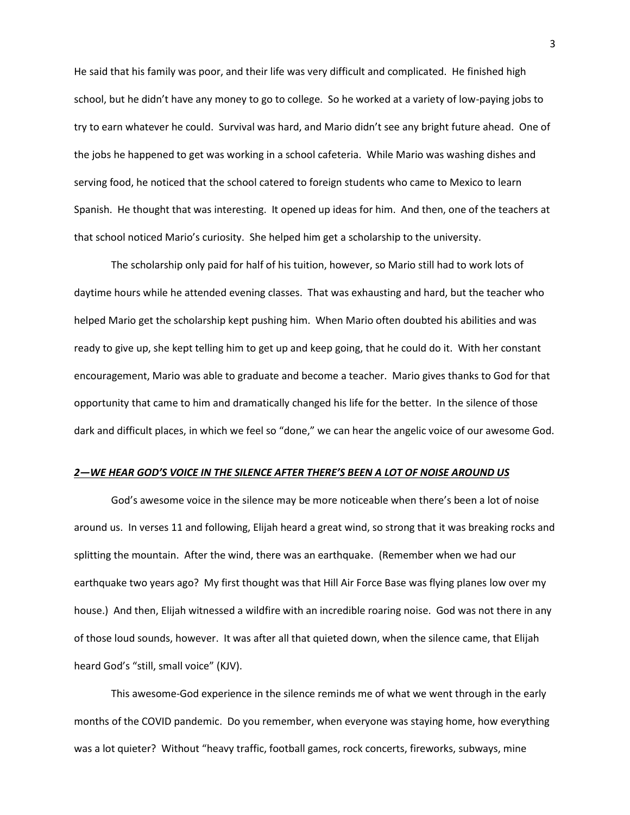He said that his family was poor, and their life was very difficult and complicated. He finished high school, but he didn't have any money to go to college. So he worked at a variety of low-paying jobs to try to earn whatever he could. Survival was hard, and Mario didn't see any bright future ahead. One of the jobs he happened to get was working in a school cafeteria. While Mario was washing dishes and serving food, he noticed that the school catered to foreign students who came to Mexico to learn Spanish. He thought that was interesting. It opened up ideas for him. And then, one of the teachers at that school noticed Mario's curiosity. She helped him get a scholarship to the university.

The scholarship only paid for half of his tuition, however, so Mario still had to work lots of daytime hours while he attended evening classes. That was exhausting and hard, but the teacher who helped Mario get the scholarship kept pushing him. When Mario often doubted his abilities and was ready to give up, she kept telling him to get up and keep going, that he could do it. With her constant encouragement, Mario was able to graduate and become a teacher. Mario gives thanks to God for that opportunity that came to him and dramatically changed his life for the better. In the silence of those dark and difficult places, in which we feel so "done," we can hear the angelic voice of our awesome God.

#### *2—WE HEAR GOD'S VOICE IN THE SILENCE AFTER THERE'S BEEN A LOT OF NOISE AROUND US*

God's awesome voice in the silence may be more noticeable when there's been a lot of noise around us. In verses 11 and following, Elijah heard a great wind, so strong that it was breaking rocks and splitting the mountain. After the wind, there was an earthquake. (Remember when we had our earthquake two years ago? My first thought was that Hill Air Force Base was flying planes low over my house.) And then, Elijah witnessed a wildfire with an incredible roaring noise. God was not there in any of those loud sounds, however. It was after all that quieted down, when the silence came, that Elijah heard God's "still, small voice" (KJV).

This awesome-God experience in the silence reminds me of what we went through in the early months of the COVID pandemic. Do you remember, when everyone was staying home, how everything was a lot quieter? Without "heavy traffic, football games, rock concerts, fireworks, subways, mine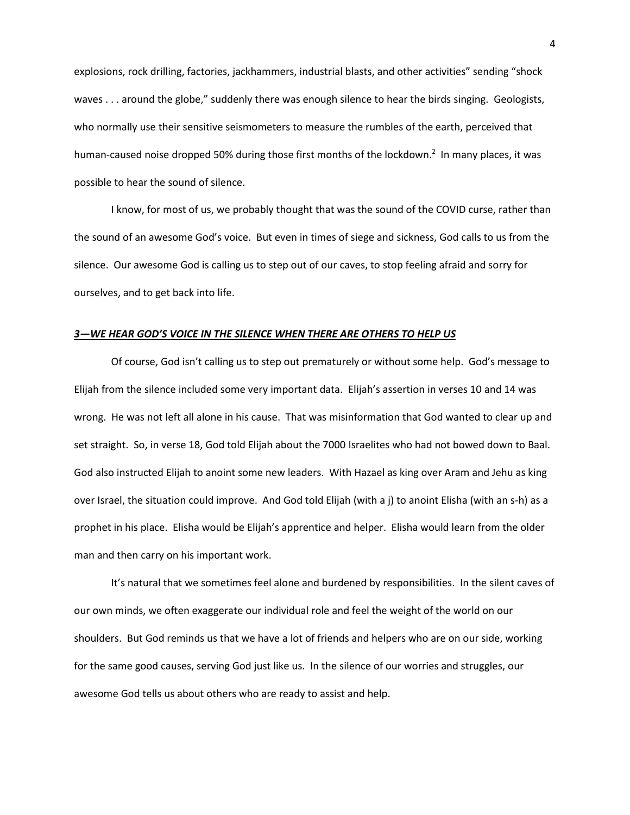explosions, rock drilling, factories, jackhammers, industrial blasts, and other activities" sending "shock waves . . . around the globe," suddenly there was enough silence to hear the birds singing. Geologists, who normally use their sensitive seismometers to measure the rumbles of the earth, perceived that human-caused noise dropped 50% during those first months of the lockdown.<sup>2</sup> In many places, it was possible to hear the sound of silence.

I know, for most of us, we probably thought that was the sound of the COVID curse, rather than the sound of an awesome God's voice. But even in times of siege and sickness, God calls to us from the silence. Our awesome God is calling us to step out of our caves, to stop feeling afraid and sorry for ourselves, and to get back into life.

# *3—WE HEAR GOD'S VOICE IN THE SILENCE WHEN THERE ARE OTHERS TO HELP US*

Of course, God isn't calling us to step out prematurely or without some help. God's message to Elijah from the silence included some very important data. Elijah's assertion in verses 10 and 14 was wrong. He was not left all alone in his cause. That was misinformation that God wanted to clear up and set straight. So, in verse 18, God told Elijah about the 7000 Israelites who had not bowed down to Baal. God also instructed Elijah to anoint some new leaders. With Hazael as king over Aram and Jehu as king over Israel, the situation could improve. And God told Elijah (with a j) to anoint Elisha (with an s-h) as a prophet in his place. Elisha would be Elijah's apprentice and helper. Elisha would learn from the older man and then carry on his important work.

It's natural that we sometimes feel alone and burdened by responsibilities. In the silent caves of our own minds, we often exaggerate our individual role and feel the weight of the world on our shoulders. But God reminds us that we have a lot of friends and helpers who are on our side, working for the same good causes, serving God just like us. In the silence of our worries and struggles, our awesome God tells us about others who are ready to assist and help.